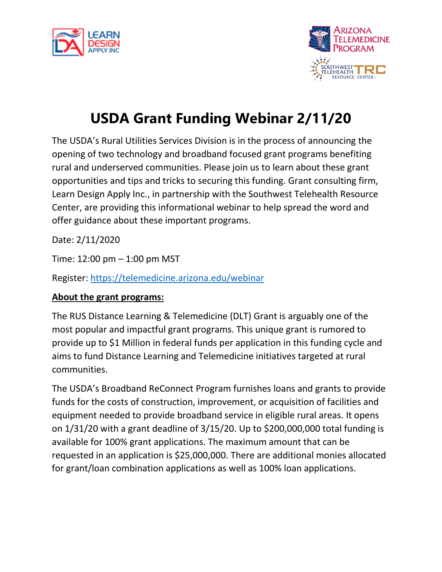



## **USDA Grant Funding Webinar 2/11/20**

The USDA's Rural Utilities Services Division is in the process of announcing the opening of two technology and broadband focused grant programs benefiting rural and underserved communities. Please join us to learn about these grant opportunities and tips and tricks to securing this funding. Grant consulting firm, Learn Design Apply Inc., in partnership with the Southwest Telehealth Resource Center, are providing this informational webinar to help spread the word and offer guidance about these important programs.

Date: 2/11/2020

Time: 12:00 pm – 1:00 pm MST

Register:<https://telemedicine.arizona.edu/webinar>

### **About the grant programs:**

The RUS Distance Learning & Telemedicine (DLT) Grant is arguably one of the most popular and impactful grant programs. This unique grant is rumored to provide up to \$1 Million in federal funds per application in this funding cycle and aims to fund Distance Learning and Telemedicine initiatives targeted at rural communities.

The USDA's Broadband ReConnect Program furnishes loans and grants to provide funds for the costs of construction, improvement, or acquisition of facilities and equipment needed to provide broadband service in eligible rural areas. It opens on 1/31/20 with a grant deadline of 3/15/20. Up to \$200,000,000 total funding is available for 100% grant applications. The maximum amount that can be requested in an application is \$25,000,000. There are additional monies allocated for grant/loan combination applications as well as 100% loan applications.